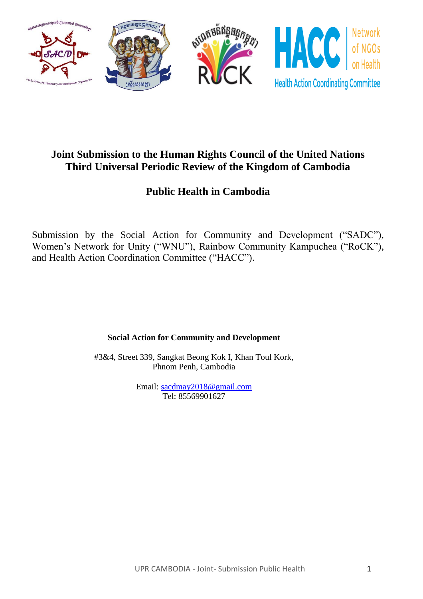

# **Joint Submission to the Human Rights Council of the United Nations Third Universal Periodic Review of the Kingdom of Cambodia**

# **Public Health in Cambodia**

Submission by the Social Action for Community and Development ("SADC"), Women's Network for Unity ("WNU"), Rainbow Community Kampuchea ("RoCK"), and Health Action Coordination Committee ("HACC").

**Social Action for Community and Development**

#3&4, Street 339, Sangkat Beong Kok I, Khan Toul Kork, Phnom Penh, Cambodia

> Email: [sacdmay2018@gmail.com](mailto:sacdmay2018@gmail.com) Tel: 85569901627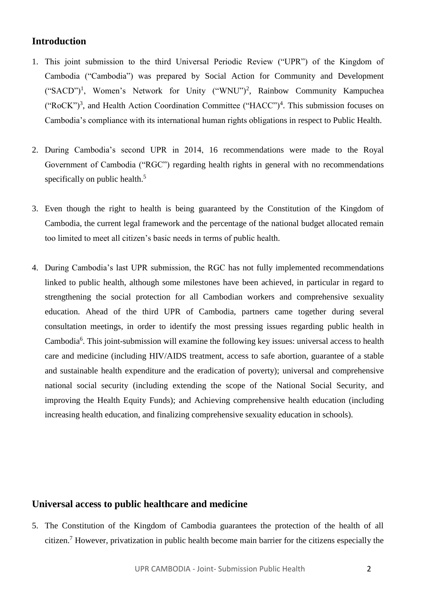# **Introduction**

- 1. This joint submission to the third Universal Periodic Review ("UPR") of the Kingdom of Cambodia ("Cambodia") was prepared by Social Action for Community and Development ("SACD")<sup>1</sup>, Women's Network for Unity ("WNU")<sup>2</sup>, Rainbow Community Kampuchea  $("RoCK")^3$ , and Health Action Coordination Committee  $("HACC")^4$ . This submission focuses on Cambodia's compliance with its international human rights obligations in respect to Public Health.
- 2. During Cambodia's second UPR in 2014, 16 recommendations were made to the Royal Government of Cambodia ("RGC") regarding health rights in general with no recommendations specifically on public health.<sup>5</sup>
- 3. Even though the right to health is being guaranteed by the Constitution of the Kingdom of Cambodia, the current legal framework and the percentage of the national budget allocated remain too limited to meet all citizen's basic needs in terms of public health.
- 4. During Cambodia's last UPR submission, the RGC has not fully implemented recommendations linked to public health, although some milestones have been achieved, in particular in regard to strengthening the social protection for all Cambodian workers and comprehensive sexuality education. Ahead of the third UPR of Cambodia, partners came together during several consultation meetings, in order to identify the most pressing issues regarding public health in Cambodia<sup>6</sup>. This joint-submission will examine the following key issues: universal access to health care and medicine (including HIV/AIDS treatment, access to safe abortion, guarantee of a stable and sustainable health expenditure and the eradication of poverty); universal and comprehensive national social security (including extending the scope of the National Social Security, and improving the Health Equity Funds); and Achieving comprehensive health education (including increasing health education, and finalizing comprehensive sexuality education in schools).

## **Universal access to public healthcare and medicine**

5. The Constitution of the Kingdom of Cambodia guarantees the protection of the health of all citizen. <sup>7</sup> However, privatization in public health become main barrier for the citizens especially the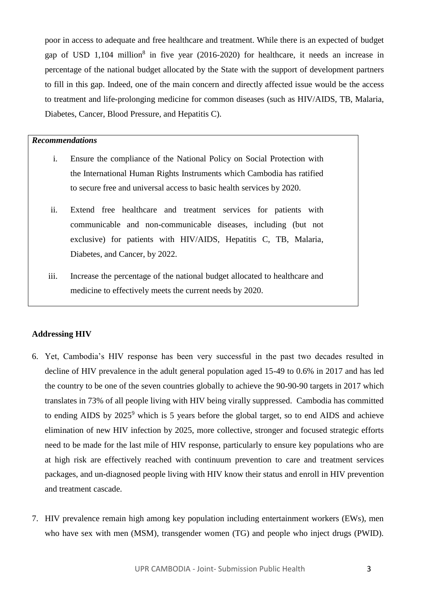poor in access to adequate and free healthcare and treatment. While there is an expected of budget gap of USD  $1,104$  million<sup>8</sup> in five year (2016-2020) for healthcare, it needs an increase in percentage of the national budget allocated by the State with the support of development partners to fill in this gap. Indeed, one of the main concern and directly affected issue would be the access to treatment and life-prolonging medicine for common diseases (such as HIV/AIDS, TB, Malaria, Diabetes, Cancer, Blood Pressure, and Hepatitis C).

#### *Recommendations*

- i. Ensure the compliance of the National Policy on Social Protection with the International Human Rights Instruments which Cambodia has ratified to secure free and universal access to basic health services by 2020.
- ii. Extend free healthcare and treatment services for patients with communicable and non-communicable diseases, including (but not exclusive) for patients with HIV/AIDS, Hepatitis C, TB, Malaria, Diabetes, and Cancer, by 2022.
- iii. Increase the percentage of the national budget allocated to healthcare and medicine to effectively meets the current needs by 2020.

#### **Addressing HIV**

- 6. Yet, Cambodia's HIV response has been very successful in the past two decades resulted in decline of HIV prevalence in the adult general population aged 15-49 to 0.6% in 2017 and has led the country to be one of the seven countries globally to achieve the 90-90-90 targets in 2017 which translates in 73% of all people living with HIV being virally suppressed. Cambodia has committed to ending AIDS by  $2025^9$  which is 5 years before the global target, so to end AIDS and achieve elimination of new HIV infection by 2025, more collective, stronger and focused strategic efforts need to be made for the last mile of HIV response, particularly to ensure key populations who are at high risk are effectively reached with continuum prevention to care and treatment services packages, and un-diagnosed people living with HIV know their status and enroll in HIV prevention and treatment cascade.
- 7. HIV prevalence remain high among key population including entertainment workers (EWs), men who have sex with men (MSM), transgender women (TG) and people who inject drugs (PWID).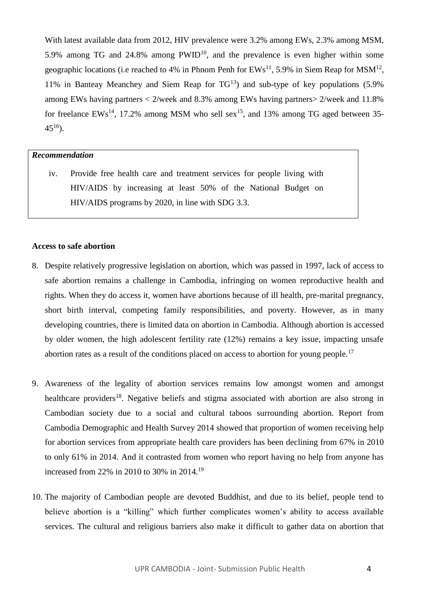With latest available data from 2012, HIV prevalence were 3.2% among EWs, 2.3% among MSM, 5.9% among TG and 24.8% among  $PWID^{10}$ , and the prevalence is even higher within some geographic locations (i.e reached to 4% in Phnom Penh for  $EWs^{11}$ , 5.9% in Siem Reap for MSM<sup>12</sup>, 11% in Banteay Meanchey and Siem Reap for  $TG^{13}$  and sub-type of key populations (5.9%) among EWs having partners < 2/week and 8.3% among EWs having partners> 2/week and 11.8% for freelance  $EWs^{14}$ , 17.2% among MSM who sell sex<sup>15</sup>, and 13% among TG aged between 35- $45^{16}$ ).

## *Recommendation*

iv. Provide free health care and treatment services for people living with HIV/AIDS by increasing at least 50% of the National Budget on HIV/AIDS programs by 2020, in line with SDG 3.3.

#### **Access to safe abortion**

- 8. Despite relatively progressive legislation on abortion, which was passed in 1997, lack of access to safe abortion remains a challenge in Cambodia, infringing on women reproductive health and rights. When they do access it, women have abortions because of ill health, pre-marital pregnancy, short birth interval, competing family responsibilities, and poverty. However, as in many developing countries, there is limited data on abortion in Cambodia. Although abortion is accessed by older women, the high adolescent fertility rate (12%) remains a key issue, impacting unsafe abortion rates as a result of the conditions placed on access to abortion for young people.<sup>17</sup>
- 9. Awareness of the legality of abortion services remains low amongst women and amongst healthcare providers<sup>18</sup>. Negative beliefs and stigma associated with abortion are also strong in Cambodian society due to a social and cultural taboos surrounding abortion. Report from Cambodia Demographic and Health Survey 2014 showed that proportion of women receiving help for abortion services from appropriate health care providers has been declining from 67% in 2010 to only 61% in 2014. And it contrasted from women who report having no help from anyone has increased from 22% in 2010 to 30% in 2014.<sup>19</sup>
- 10. The majority of Cambodian people are devoted Buddhist, and due to its belief, people tend to believe abortion is a "killing" which further complicates women's ability to access available services. The cultural and religious barriers also make it difficult to gather data on abortion that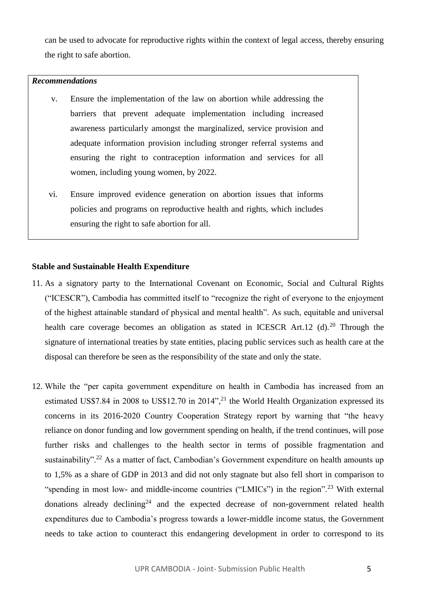can be used to advocate for reproductive rights within the context of legal access, thereby ensuring the right to safe abortion.

## *Recommendations*

- v. Ensure the implementation of the law on abortion while addressing the barriers that prevent adequate implementation including increased awareness particularly amongst the marginalized, service provision and adequate information provision including stronger referral systems and ensuring the right to contraception information and services for all women, including young women, by 2022.
- vi. Ensure improved evidence generation on abortion issues that informs policies and programs on reproductive health and rights, which includes ensuring the right to safe abortion for all.

#### **Stable and Sustainable Health Expenditure**

- 11. As a signatory party to the International Covenant on Economic, Social and Cultural Rights ("ICESCR"), Cambodia has committed itself to "recognize the right of everyone to the enjoyment of the highest attainable standard of physical and mental health". As such, equitable and universal health care coverage becomes an obligation as stated in ICESCR Art.12 (d).<sup>20</sup> Through the signature of international treaties by state entities, placing public services such as health care at the disposal can therefore be seen as the responsibility of the state and only the state.
- 12. While the "per capita government expenditure on health in Cambodia has increased from an estimated US\$7.84 in 2008 to US\$12.70 in 2014",<sup>21</sup> the World Health Organization expressed its concerns in its 2016-2020 Country Cooperation Strategy report by warning that "the heavy reliance on donor funding and low government spending on health, if the trend continues, will pose further risks and challenges to the health sector in terms of possible fragmentation and sustainability".<sup>22</sup> As a matter of fact, Cambodian's Government expenditure on health amounts up to 1,5% as a share of GDP in 2013 and did not only stagnate but also fell short in comparison to "spending in most low- and middle-income countries ("LMICs") in the region".<sup>23</sup> With external donations already declining<sup>24</sup> and the expected decrease of non-government related health expenditures due to Cambodia's progress towards a lower-middle income status, the Government needs to take action to counteract this endangering development in order to correspond to its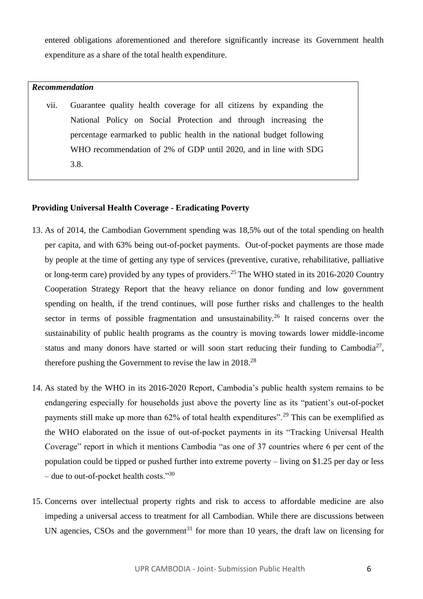entered obligations aforementioned and therefore significantly increase its Government health expenditure as a share of the total health expenditure.

# *Recommendation*

vii. Guarantee quality health coverage for all citizens by expanding the National Policy on Social Protection and through increasing the percentage earmarked to public health in the national budget following WHO recommendation of 2% of GDP until 2020, and in line with SDG 3.8.

## **Providing Universal Health Coverage - Eradicating Poverty**

- 13. As of 2014, the Cambodian Government spending was 18,5% out of the total spending on health per capita, and with 63% being out-of-pocket payments. Out-of-pocket payments are those made by people at the time of getting any type of services (preventive, curative, rehabilitative, palliative or long-term care) provided by any types of providers. <sup>25</sup> The WHO stated in its 2016-2020 Country Cooperation Strategy Report that the heavy reliance on donor funding and low government spending on health, if the trend continues, will pose further risks and challenges to the health sector in terms of possible fragmentation and unsustainability.<sup>26</sup> It raised concerns over the sustainability of public health programs as the country is moving towards lower middle-income status and many donors have started or will soon start reducing their funding to Cambodia<sup>27</sup>, therefore pushing the Government to revise the law in  $2018^{28}$
- 14. As stated by the WHO in its 2016-2020 Report, Cambodia's public health system remains to be endangering especially for households just above the poverty line as its "patient's out-of-pocket payments still make up more than 62% of total health expenditures".<sup>29</sup> This can be exemplified as the WHO elaborated on the issue of out-of-pocket payments in its "Tracking Universal Health Coverage" report in which it mentions Cambodia "as one of 37 countries where 6 per cent of the population could be tipped or pushed further into extreme poverty – living on \$1.25 per day or less – due to out-of-pocket health costs." $30$
- 15. Concerns over intellectual property rights and risk to access to affordable medicine are also impeding a universal access to treatment for all Cambodian. While there are discussions between UN agencies, CSOs and the government<sup>31</sup> for more than 10 years, the draft law on licensing for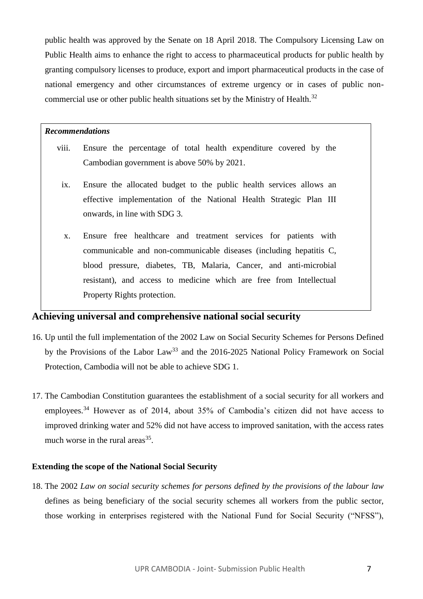public health was approved by the Senate on 18 April 2018. The Compulsory Licensing Law on Public Health aims to enhance the right to access to pharmaceutical products for public health by granting compulsory licenses to produce, export and import pharmaceutical products in the case of national emergency and other circumstances of extreme urgency or in cases of public noncommercial use or other public health situations set by the Ministry of Health.<sup>32</sup>

#### *Recommendations*

- viii. Ensure the percentage of total health expenditure covered by the Cambodian government is above 50% by 2021.
	- ix. Ensure the allocated budget to the public health services allows an effective implementation of the National Health Strategic Plan III onwards, in line with SDG 3.
	- x. Ensure free healthcare and treatment services for patients with communicable and non-communicable diseases (including hepatitis C, blood pressure, diabetes, TB, Malaria, Cancer, and anti-microbial resistant), and access to medicine which are free from Intellectual Property Rights protection.

## **Achieving universal and comprehensive national social security**

- 16. Up until the full implementation of the 2002 Law on Social Security Schemes for Persons Defined by the Provisions of the Labor Law<sup>33</sup> and the 2016-2025 National Policy Framework on Social Protection, Cambodia will not be able to achieve SDG 1.
- 17. The Cambodian Constitution guarantees the establishment of a social security for all workers and employees.<sup>34</sup> However as of 2014, about 35% of Cambodia's citizen did not have access to improved drinking water and 52% did not have access to improved sanitation, with the access rates much worse in the rural areas $^{35}$ .

## **Extending the scope of the National Social Security**

18. The 2002 *Law on social security schemes for persons defined by the provisions of the labour law* defines as being beneficiary of the social security schemes all workers from the public sector, those working in enterprises registered with the National Fund for Social Security ("NFSS"),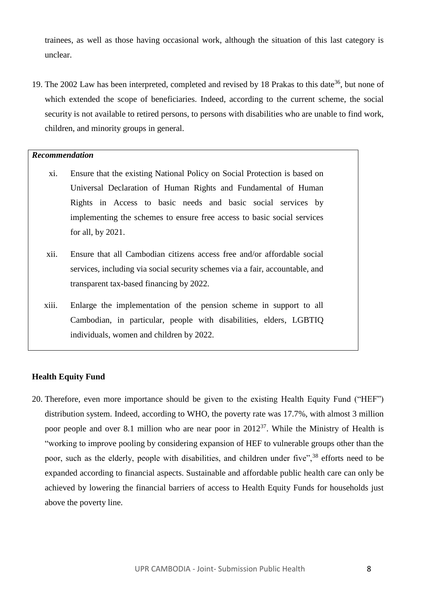trainees, as well as those having occasional work, although the situation of this last category is unclear.

19. The 2002 Law has been interpreted, completed and revised by 18 Prakas to this date<sup>36</sup>, but none of which extended the scope of beneficiaries. Indeed, according to the current scheme, the social security is not available to retired persons, to persons with disabilities who are unable to find work, children, and minority groups in general.

## *Recommendation*

- xi. Ensure that the existing National Policy on Social Protection is based on Universal Declaration of Human Rights and Fundamental of Human Rights in Access to basic needs and basic social services by implementing the schemes to ensure free access to basic social services for all, by 2021.
- xii. Ensure that all Cambodian citizens access free and/or affordable social services, including via social security schemes via a fair, accountable, and transparent tax-based financing by 2022.
- xiii. Enlarge the implementation of the pension scheme in support to all Cambodian, in particular, people with disabilities, elders, LGBTIQ individuals, women and children by 2022.

## **Health Equity Fund**

20. Therefore, even more importance should be given to the existing Health Equity Fund ("HEF") distribution system. Indeed, according to WHO, the poverty rate was 17.7%, with almost 3 million poor people and over 8.1 million who are near poor in  $2012^{37}$ . While the Ministry of Health is "working to improve pooling by considering expansion of HEF to vulnerable groups other than the poor, such as the elderly, people with disabilities, and children under five",<sup>38</sup> efforts need to be expanded according to financial aspects. Sustainable and affordable public health care can only be achieved by lowering the financial barriers of access to Health Equity Funds for households just above the poverty line.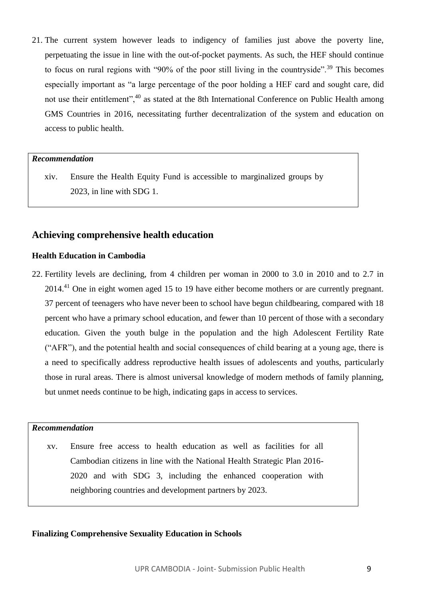21. The current system however leads to indigency of families just above the poverty line, perpetuating the issue in line with the out-of-pocket payments. As such, the HEF should continue to focus on rural regions with "90% of the poor still living in the countryside".<sup>39</sup> This becomes especially important as "a large percentage of the poor holding a HEF card and sought care, did not use their entitlement",<sup>40</sup> as stated at the 8th International Conference on Public Health among GMS Countries in 2016, necessitating further decentralization of the system and education on access to public health.

#### *Recommendation*

xiv. Ensure the Health Equity Fund is accessible to marginalized groups by 2023, in line with SDG 1.

# **Achieving comprehensive health education**

## **Health Education in Cambodia**

22. Fertility levels are declining, from 4 children per woman in 2000 to 3.0 in 2010 and to 2.7 in 2014.<sup>41</sup> One in eight women aged 15 to 19 have either become mothers or are currently pregnant. 37 percent of teenagers who have never been to school have begun childbearing, compared with 18 percent who have a primary school education, and fewer than 10 percent of those with a secondary education. Given the youth bulge in the population and the high Adolescent Fertility Rate ("AFR"), and the potential health and social consequences of child bearing at a young age, there is a need to specifically address reproductive health issues of adolescents and youths, particularly those in rural areas. There is almost universal knowledge of modern methods of family planning, but unmet needs continue to be high, indicating gaps in access to services.

# *Recommendation*

xv. Ensure free access to health education as well as facilities for all Cambodian citizens in line with the National Health Strategic Plan 2016- 2020 and with SDG 3, including the enhanced cooperation with neighboring countries and development partners by 2023.

## **Finalizing Comprehensive Sexuality Education in Schools**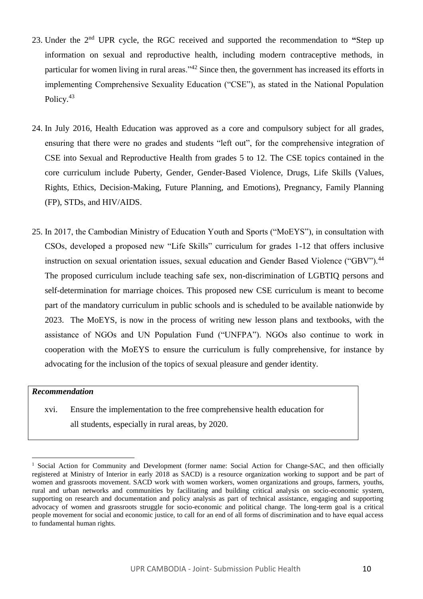- 23. Under the 2nd UPR cycle, the RGC received and supported the recommendation to **"**Step up information on sexual and reproductive health, including modern contraceptive methods, in particular for women living in rural areas."<sup>42</sup> Since then, the government has increased its efforts in implementing Comprehensive Sexuality Education ("CSE"), as stated in the National Population Policy.<sup>43</sup>
- 24. In July 2016, Health Education was approved as a core and compulsory subject for all grades, ensuring that there were no grades and students "left out", for the comprehensive integration of CSE into Sexual and Reproductive Health from grades 5 to 12. The CSE topics contained in the core curriculum include Puberty, Gender, Gender-Based Violence, Drugs, Life Skills (Values, Rights, Ethics, Decision-Making, Future Planning, and Emotions), Pregnancy, Family Planning (FP), STDs, and HIV/AIDS.
- 25. In 2017, the Cambodian Ministry of Education Youth and Sports ("MoEYS"), in consultation with CSOs, developed a proposed new "Life Skills" curriculum for grades 1-12 that offers inclusive instruction on sexual orientation issues, sexual education and Gender Based Violence ("GBV").<sup>44</sup> The proposed curriculum include teaching safe sex, non-discrimination of LGBTIQ persons and self-determination for marriage choices. This proposed new CSE curriculum is meant to become part of the mandatory curriculum in public schools and is scheduled to be available nationwide by 2023. The MoEYS, is now in the process of writing new lesson plans and textbooks, with the assistance of NGOs and UN Population Fund ("UNFPA"). NGOs also continue to work in cooperation with the MoEYS to ensure the curriculum is fully comprehensive, for instance by advocating for the inclusion of the topics of sexual pleasure and gender identity.

## *Recommendation*

xvi. Ensure the implementation to the free comprehensive health education for all students, especially in rural areas, by 2020.

 $\overline{a}$ <sup>1</sup> Social Action for Community and Development (former name: Social Action for Change-SAC, and then officially registered at Ministry of Interior in early 2018 as SACD) is a resource organization working to support and be part of women and grassroots movement. SACD work with women workers, women organizations and groups, farmers, youths, rural and urban networks and communities by facilitating and building critical analysis on socio-economic system, supporting on research and documentation and policy analysis as part of technical assistance, engaging and supporting advocacy of women and grassroots struggle for socio-economic and political change. The long-term goal is a critical people movement for social and economic justice, to call for an end of all forms of discrimination and to have equal access to fundamental human rights.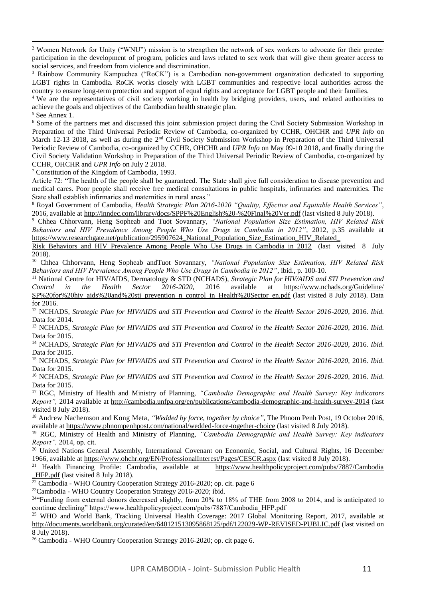i <sup>2</sup> Women Network for Unity ("WNU") mission is to strengthen the network of sex workers to advocate for their greater participation in the development of program, policies and laws related to sex work that will give them greater access to social services, and freedom from violence and discrimination.

<sup>3</sup> Rainbow Community Kampuchea ("RoCK") is a Cambodian non-government organization dedicated to supporting LGBT rights in Cambodia. RoCK works closely with LGBT communities and respective local authorities across the country to ensure long-term protection and support of equal rights and acceptance for LGBT people and their families.

<sup>4</sup> We are the representatives of civil society working in health by bridging providers, users, and related authorities to achieve the goals and objectives of the Cambodian health strategic plan.

<sup>5</sup> See Annex 1.

<sup>6</sup> Some of the partners met and discussed this joint submission project during the Civil Society Submission Workshop in Preparation of the Third Universal Periodic Review of Cambodia, co-organized by CCHR, OHCHR and *UPR Info* on March 12-13 2018, as well as during the 2<sup>nd</sup> Civil Society Submission Workshop in Preparation of the Third Universal Periodic Review of Cambodia, co-organized by CCHR, OHCHR and *UPR Info* on May 09-10 2018, and finally during the Civil Society Validation Workshop in Preparation of the Third Universal Periodic Review of Cambodia, co-organized by CCHR, OHCHR and *UPR Info* on July 2 2018.

<sup>7</sup> Constitution of the Kingdom of Cambodia, 1993.

Article 72: "The health of the people shall be guaranteed. The State shall give full consideration to disease prevention and medical cares. Poor people shall receive free medical consultations in public hospitals, infirmaries and maternities. The State shall establish infirmaries and maternities in rural areas."

<sup>8</sup> Royal Government of Cambodia, *Health Strategic Plan 2016-2020 "Quality, Effective and Equitable Health Services"*, 2016, available at<http://inndec.com/library/docs/SPPF%20English%20-%20Final%20Ver.pdf> (last visited 8 July 2018).

<sup>9</sup> Chhea Chhorvann, Heng Sopheab and Tuot Sovannary, *"National Population Size Estimation, HIV Related Risk Behaviors and HIV Prevalence Among People Who Use Drugs in Cambodia in 2012"*, 2012, p.35 available at https://www.researchgate.net/publication/295907624 National Population Size Estimation HIV Related

Risk Behaviors and HIV Prevalence Among People Who Use Drugs in Cambodia in 2012 (last visited 8 July 2018).

<sup>10</sup> Chhea Chhorvann, Heng Sopheab andTuot Sovannary, *"National Population Size Estimation, HIV Related Risk Behaviors and HIV Prevalence Among People Who Use Drugs in Cambodia in 2012"*, ibid., p. 100-10.

<sup>11</sup> National Centre for HIV/AIDS, Dermatology & STD (NCHADS), *Strategic Plan for HIV/AIDS and STI Prevention and* Control in the Health Sector 2016-2020, 2016 available at https://www.nchads.org/Guideline/ *Control in the Health Sector 2016-2020*, 2016 available at [https://www.nchads.org/Guideline/](https://www.nchads.org/Guideline/SP%20for%20hiv_aids%20and%20sti_prevention_n_control_in_Health%20Sector_en.pdf) [SP%20for%20hiv\\_aids%20and%20sti\\_prevention\\_n\\_control\\_in\\_Health%20Sector\\_en.pdf](https://www.nchads.org/Guideline/SP%20for%20hiv_aids%20and%20sti_prevention_n_control_in_Health%20Sector_en.pdf) (last visited 8 July 2018). Data for 2016.

<sup>12</sup> NCHADS, *Strategic Plan for HIV/AIDS and STI Prevention and Control in the Health Sector 2016-2020*, 2016. *Ibid.* Data for 2014.

<sup>13</sup> NCHADS, *Strategic Plan for HIV/AIDS and STI Prevention and Control in the Health Sector 2016-2020*, 2016. *Ibid.* Data for 2015.

<sup>14</sup> NCHADS, *Strategic Plan for HIV/AIDS and STI Prevention and Control in the Health Sector 2016-2020*, 2016. *Ibid.* Data for 2015.

<sup>15</sup> NCHADS, *Strategic Plan for HIV/AIDS and STI Prevention and Control in the Health Sector 2016-2020*, 2016. *Ibid.* Data for 2015.

<sup>16</sup> NCHADS, *Strategic Plan for HIV/AIDS and STI Prevention and Control in the Health Sector 2016-2020*, 2016. *Ibid.* Data for 2015.

<sup>17</sup> RGC, Ministry of Health and Ministry of Planning, *"Cambodia Demographic and Health Survey: Key indicators Report",* 2014 available at<http://cambodia.unfpa.org/en/publications/cambodia-demographic-and-health-survey-2014> (last visited 8 July 2018).

<sup>18</sup> Andrew Nachemson and Kong Meta*, "Wedded by force, together by choice",* The Phnom Penh Post, 19 October 2016, available at<https://www.phnompenhpost.com/national/wedded-force-together-choice> (last visited 8 July 2018).

<sup>19</sup> RGC, Ministry of Health and Ministry of Planning, *"Cambodia Demographic and Health Survey: Key indicators Report",* 2014, op. cit.

<sup>20</sup> United Nations General Assembly, International Covenant on Economic, Social, and Cultural Rights, 16 December 1966, available at<https://www.ohchr.org/EN/ProfessionalInterest/Pages/CESCR.aspx> (last visited 8 July 2018).<br><sup>21</sup> Health Financing Profile: Cambodia, available at https://www.healthpolicyproject.com/pubs/7887/Cambodia

 $21$  Health Financing Profile: Cambodia, available at [\\_HFP.pdf](https://www.healthpolicyproject.com/pubs/7887/Cambodia_HFP.pdf) (last visited 8 July 2018).

<sup>22</sup> Cambodia - WHO Country Cooperation Strategy 2016-2020; op. cit. page 6

<sup>23</sup>Cambodia - WHO Country Cooperation Strategy 2016-2020; ibid.

<sup>24</sup>"Funding from external donors decreased slightly, from 20% to 18% of THE from 2008 to 2014, and is anticipated to continue declining" https://www.healthpolicyproject.com/pubs/7887/Cambodia\_HFP.pdf

<sup>25</sup> WHO and World Bank, Tracking Universal Health Coverage: 2017 Global Monitoring Report, 2017, available at <http://documents.worldbank.org/curated/en/640121513095868125/pdf/122029-WP-REVISED-PUBLIC.pdf> (last visited on 8 July 2018).

<sup>26</sup> Cambodia - WHO Country Cooperation Strategy 2016-2020; op. cit page 6.